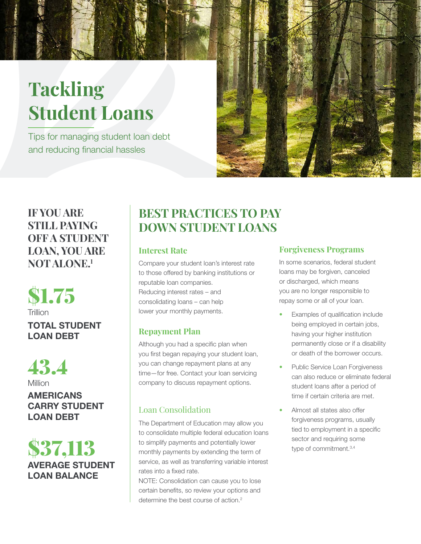# **Tackling Student Loans**

Tips for managing student loan debt and reducing financial hassles



## **IF YOU ARE STILL PAYING OFF A STUDENT LOAN, YOU ARE NOT ALONE.<sup>1</sup>**

TOTAL STUDENT LOAN DEBT \$1.75 **Trillion** 



AMERICANS CARRY STUDENT LOAN DEBT

AVERAGE STUDENT LOAN BALANCE \$37,113

# **BEST PRACTICES TO PAY DOWN STUDENT LOANS**

### **Interest Rate**

Compare your student loan's interest rate to those offered by banking institutions or reputable loan companies. Reducing interest rates – and consolidating loans – can help lower your monthly payments.

### **Repayment Plan**

Although you had a specific plan when you first began repaying your student loan, you can change repayment plans at any time—for free. Contact your loan servicing company to discuss repayment options.

### Loan Consolidation

The Department of Education may allow you to consolidate multiple federal education loans to simplify payments and potentially lower monthly payments by extending the term of service, as well as transferring variable interest rates into a fixed rate.

NOTE: Consolidation can cause you to lose certain benefits, so review your options and determine the best course of action.<sup>2</sup>

### **Forgiveness Programs**

In some scenarios, federal student loans may be forgiven, canceled or discharged, which means you are no longer responsible to repay some or all of your loan.

- Examples of qualification include being employed in certain jobs, having your higher institution permanently close or if a disability or death of the borrower occurs.
- Public Service Loan Forgiveness can also reduce or eliminate federal student loans after a period of time if certain criteria are met.
- Almost all states also offer forgiveness programs, usually tied to employment in a specific sector and requiring some type of commitment.<sup>3,4</sup>